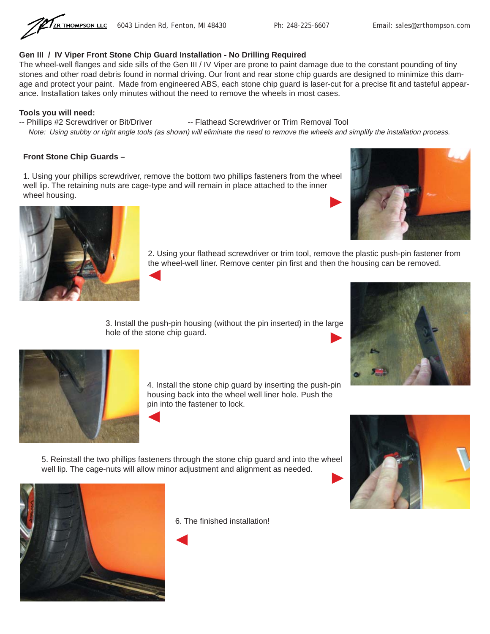

## **Gen III / IV Viper Front Stone Chip Guard Installation - No Drilling Required**

The wheel-well flanges and side sills of the Gen III / IV Viper are prone to paint damage due to the constant pounding of tiny stones and other road debris found in normal driving. Our front and rear stone chip guards are designed to minimize this damage and protect your paint. Made from engineered ABS, each stone chip guard is laser-cut for a precise fit and tasteful appearance. Installation takes only minutes without the need to remove the wheels in most cases.

### **Tools you will need:**

-- Phillips #2 Screwdriver or Bit/Driver -- Flathead Screwdriver or Trim Removal Tool

Note: Using stubby or right angle tools (as shown) will eliminate the need to remove the wheels and simplify the installation process.

### **Front Stone Chip Guards –**

1. Using your phillips screwdriver, remove the bottom two phillips fasteners from the wheel well lip. The retaining nuts are cage-type and will remain in place attached to the inner wheel housing. ◀



2. Using your flathead screwdriver or trim tool, remove the plastic push-pin fastener from the wheel-well liner. Remove center pin first and then the housing can be removed.

3. Install the push-pin housing (without the pin inserted) in the large hole of the stone chip guard.





4. Install the stone chip guard by inserting the push-pin housing back into the wheel well liner hole. Push the pin into the fastener to lock.

5. Reinstall the two phillips fasteners through the stone chip guard and into the wheel well lip. The cage-nuts will allow minor adjustment and alignment as needed.





6. The finished installation!